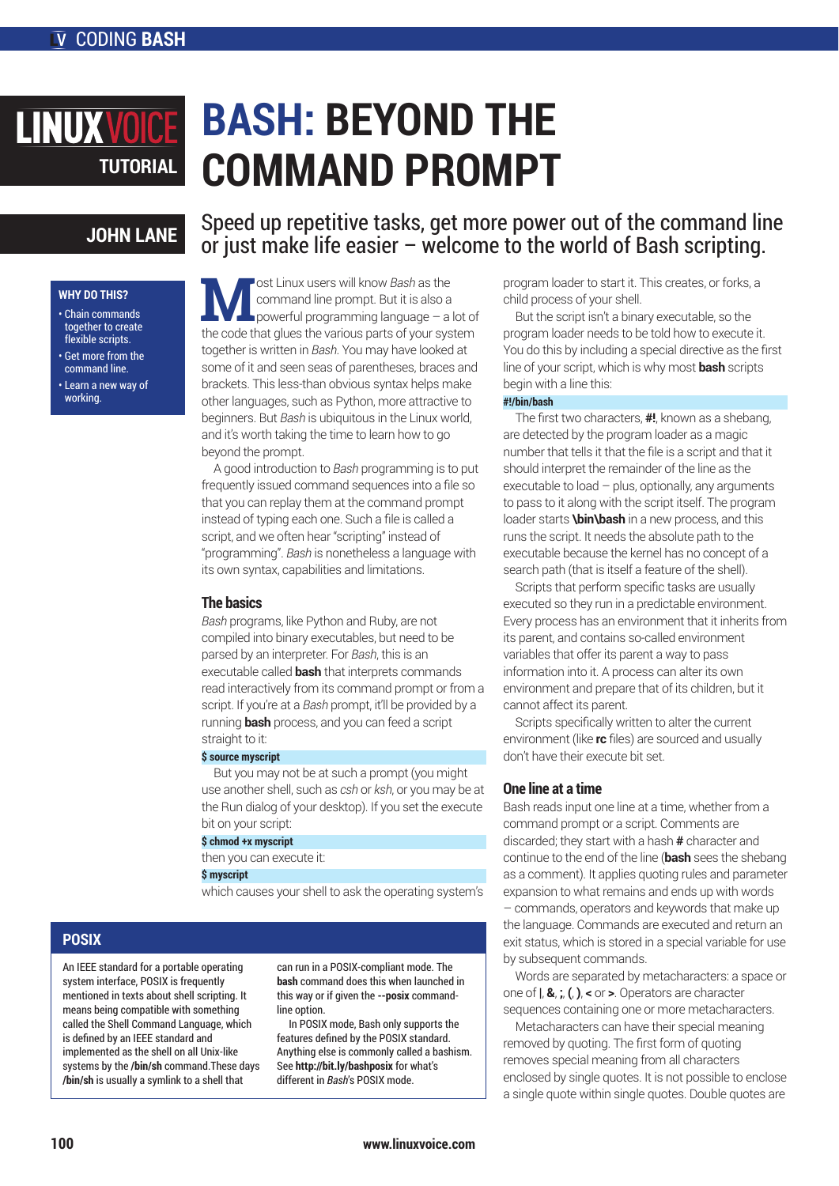# **BASH: BEYOND THE COMMAND PROMPT TUTORIAL**

# **JOHN LANE**

## **WHY DO THIS?**

**LINUX VOIC** 

- Chain commands together to create flexible scripts.
- Get more from the command line.
- Learn a new way of working.

# Speed up repetitive tasks, get more power out of the command line or just make life easier – welcome to the world of Bash scripting.

**M** ost Linux users will know *Bash* as the<br>command line prompt. But it is also a<br>the sode that glues the various parts of your out command line prompt. But it is also a powerful programming language – a lot of the code that glues the various parts of your system together is written in *Bash*. You may have looked at some of it and seen seas of parentheses, braces and brackets. This less-than obvious syntax helps make other languages, such as Python, more attractive to beginners. But *Bash* is ubiquitous in the Linux world, and it's worth taking the time to learn how to go beyond the prompt.

A good introduction to *Bash* programming is to put frequently issued command sequences into a file so that you can replay them at the command prompt instead of typing each one. Such a file is called a script, and we often hear "scripting" instead of "programming". *Bash* is nonetheless a language with its own syntax, capabilities and limitations.

# **The basics**

*Bash* programs, like Python and Ruby, are not compiled into binary executables, but need to be parsed by an interpreter. For *Bash*, this is an executable called **bash** that interprets commands read interactively from its command prompt or from a script. If you're at a *Bash* prompt, it'll be provided by a running **bash** process, and you can feed a script straight to it:

# **\$ source myscript**

But you may not be at such a prompt (you might use another shell, such as *csh* or *ksh*, or you may be at the Run dialog of your desktop). If you set the execute bit on your script:

# **\$ chmod +x myscript**

then you can execute it:

### **\$ myscript**

which causes your shell to ask the operating system's

# **POSIX**

An IEEE standard for a portable operating system interface, POSIX is frequently mentioned in texts about shell scripting. It means being compatible with something called the Shell Command Language, which is defined by an IEEE standard and implemented as the shell on all Unix-like systems by the **/bin/sh** command.These days **/bin/sh** is usually a symlink to a shell that

can run in a POSIX-compliant mode. The **bash** command does this when launched in this way or if given the **--posix** commandline option.

In POSIX mode, Bash only supports the features defined by the POSIX standard. Anything else is commonly called a bashism. See **http://bit.ly/bashposix** for what's different in *Bash*'s POSIX mode.

program loader to start it. This creates, or forks, a child process of your shell.

But the script isn't a binary executable, so the program loader needs to be told how to execute it. You do this by including a special directive as the first line of your script, which is why most **bash** scripts begin with a line this:

# **#!/bin/bash**

The first two characters, **#!**, known as a shebang, are detected by the program loader as a magic number that tells it that the file is a script and that it should interpret the remainder of the line as the executable to load  $-$  plus, optionally, any arguments to pass to it along with the script itself. The program loader starts **\bin\bash** in a new process, and this runs the script. It needs the absolute path to the executable because the kernel has no concept of a search path (that is itself a feature of the shell).

Scripts that perform specific tasks are usually executed so they run in a predictable environment. Every process has an environment that it inherits from its parent, and contains so-called environment variables that offer its parent a way to pass information into it. A process can alter its own environment and prepare that of its children, but it cannot affect its parent.

Scripts specifically written to alter the current environment (like **rc** files) are sourced and usually don't have their execute bit set.

# **One line at a time**

Bash reads input one line at a time, whether from a command prompt or a script. Comments are discarded; they start with a hash **#** character and continue to the end of the line (**bash** sees the shebang as a comment). It applies quoting rules and parameter expansion to what remains and ends up with words – commands, operators and keywords that make up the language. Commands are executed and return an exit status, which is stored in a special variable for use by subsequent commands.

Words are separated by metacharacters: a space or one of **|**, **&**, **;**, **(**, **)**, **<** or **>**. Operators are character sequences containing one or more metacharacters.

Metacharacters can have their special meaning removed by quoting. The first form of quoting removes special meaning from all characters enclosed by single quotes. It is not possible to enclose a single quote within single quotes. Double quotes are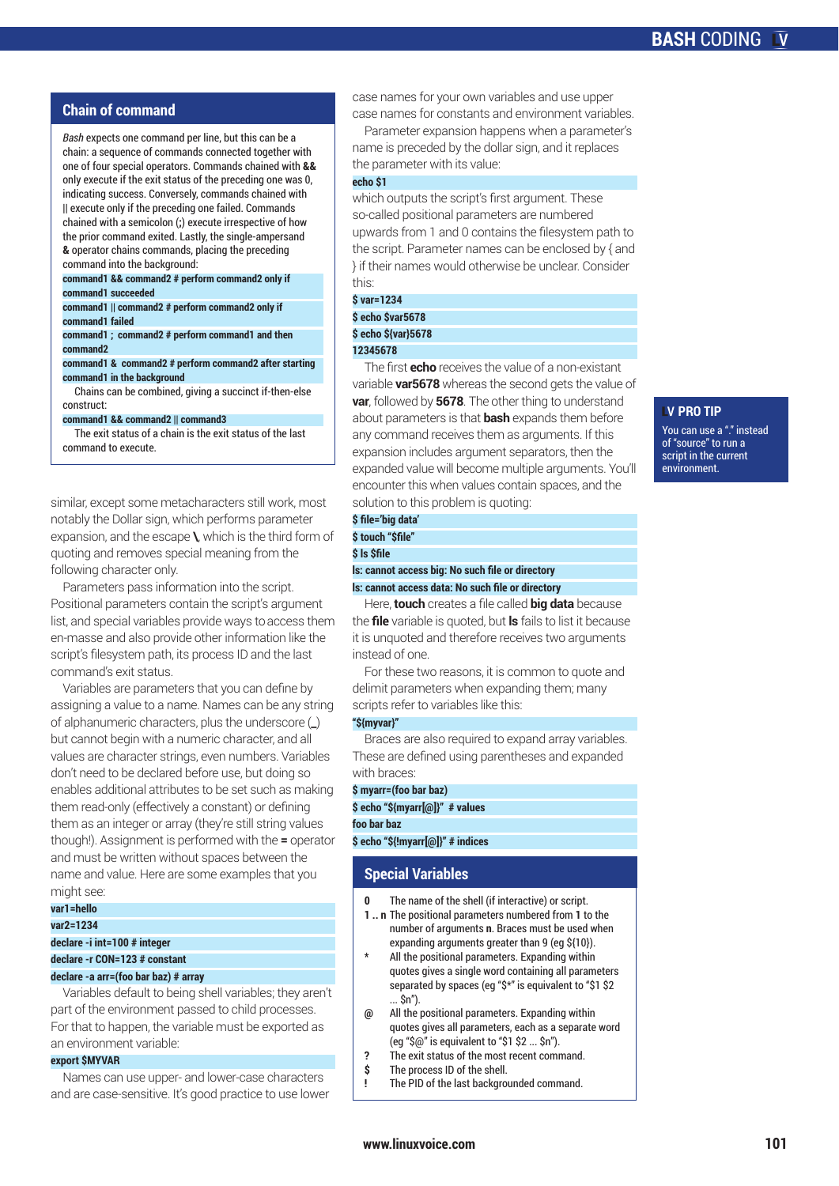# **Chain of command**

*Bash* expects one command per line, but this can be a chain: a sequence of commands connected together with one of four special operators. Commands chained with **&&** only execute if the exit status of the preceding one was 0, indicating success. Conversely, commands chained with **||** execute only if the preceding one failed. Commands chained with a semicolon (**;**) execute irrespective of how the prior command exited. Lastly, the single-ampersand **&** operator chains commands, placing the preceding command into the background:

**command1 && command2 # perform command2 only if command1 succeeded**

**command1 || command2 # perform command2 only if command1 failed**

**command1 ; command2 # perform command1 and then command2**

**command1 & command2 # perform command2 after starting command1 in the background**

Chains can be combined, giving a succinct if-then-else construct:

**command1 && command2 || command3**

The exit status of a chain is the exit status of the last command to execute.

similar, except some metacharacters still work, most notably the Dollar sign, which performs parameter expansion, and the escape **\**, which is the third form of quoting and removes special meaning from the following character only.

Parameters pass information into the script. Positional parameters contain the script's argument list, and special variables provide ways to access them en-masse and also provide other information like the script's filesystem path, its process ID and the last command's exit status.

Variables are parameters that you can define by assigning a value to a name. Names can be any string of alphanumeric characters, plus the underscore (**\_**) but cannot begin with a numeric character, and all values are character strings, even numbers. Variables don't need to be declared before use, but doing so enables additional attributes to be set such as making them read-only (effectively a constant) or defining them as an integer or array (they're still string values though!). Assignment is performed with the **=** operator and must be written without spaces between the name and value. Here are some examples that you might see:

# **var1=hello**

**var2=1234 declare -i int=100 # integer**

**declare -r CON=123 # constant**

# **declare -a arr=(foo bar baz) # array**

Variables default to being shell variables; they aren't part of the environment passed to child processes. For that to happen, the variable must be exported as an environment variable:

# **export \$MYVAR**

Names can use upper- and lower-case characters and are case-sensitive. It's good practice to use lower case names for your own variables and use upper case names for constants and environment variables.

Parameter expansion happens when a parameter's name is preceded by the dollar sign, and it replaces the parameter with its value:

# **echo \$1**

which outputs the script's first argument. These so-called positional parameters are numbered upwards from 1 and 0 contains the filesystem path to the script. Parameter names can be enclosed by { and } if their names would otherwise be unclear. Consider this:

**\$ var=1234**

**\$ echo \$var5678**

**\$ echo \${var}5678**

# **12345678**

The first **echo** receives the value of a non-existant variable **var5678** whereas the second gets the value of **var**, followed by **5678**. The other thing to understand about parameters is that **bash** expands them before any command receives them as arguments. If this expansion includes argument separators, then the expanded value will become multiple arguments. You'll encounter this when values contain spaces, and the solution to this problem is quoting:

# **\$ file='big data' \$ touch "\$file"**

**\$ ls \$file**

**ls: cannot access big: No such file or directory**

**ls: cannot access data: No such file or directory** Here, **touch** creates a file called **big data** because

the **file** variable is quoted, but **ls** fails to list it because it is unquoted and therefore receives two arguments instead of one.

For these two reasons, it is common to quote and delimit parameters when expanding them; many scripts refer to variables like this:

### **"\${myvar}"**

Braces are also required to expand array variables. These are defined using parentheses and expanded with braces:

### **\$ myarr=(foo bar baz)**

**\$ echo "\${myarr[@]}" # values**

# **foo bar baz**

**\$ echo "\${!myarr[@]}" # indices**

# **Special Variables**

- The name of the shell (if interactive) or script.
- **1 .. n** The positional parameters numbered from **1** to the number of arguments **n**. Braces must be used when expanding arguments greater than 9 (eg \${10}).
- **\*** All the positional parameters. Expanding within quotes gives a single word containing all parameters separated by spaces (eg "\$\*" is equivalent to "\$1 \$2 ... \$n").
- **@** All the positional parameters. Expanding within quotes gives all parameters, each as a separate word (eg "\$@" is equivalent to "\$1 \$2 ... \$n").
- **?** The exit status of the most recent command.
- **\$** The process ID of the shell.
- **!** The PID of the last backgrounded command.

# **V PRO TIP**

You can use a "." instead of "source" to run a script in the current environment.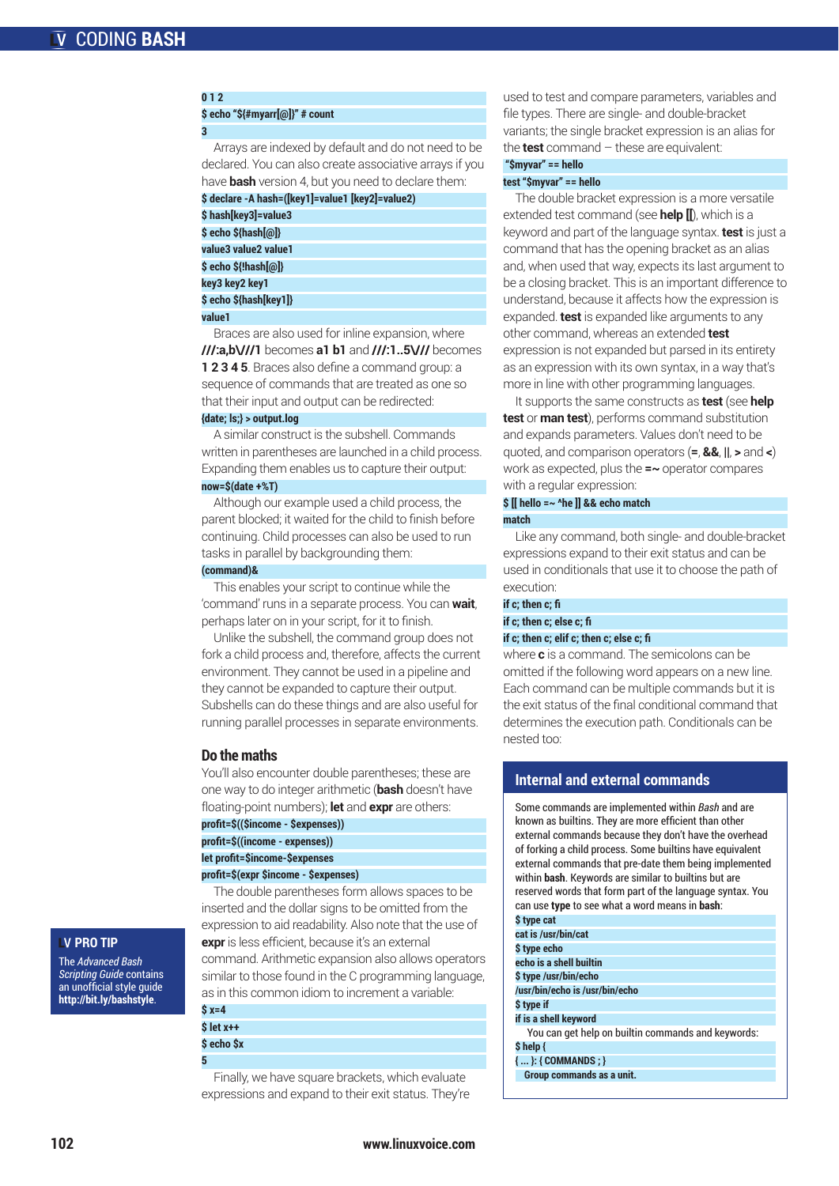# **\$ echo "\${#myarr[@]}" # count**

### **3**

**0 1 2**

Arrays are indexed by default and do not need to be declared. You can also create associative arrays if you have **bash** version 4, but you need to declare them:

| \$ declare -A hash=([key1]=value1 [key2]=value2) |  |
|--------------------------------------------------|--|
| \$hash[key3]=value3                              |  |
| \$ echo \${hash[@]}                              |  |
| value3 value2 value1                             |  |
| \$ echo \${!hash[@]}                             |  |
| key3 key2 key1                                   |  |
| \$ echo \${hash[key1]}                           |  |
| value 1                                          |  |

Braces are also used for inline expansion, where **///:a,b\///1** becomes **a1 b1** and **///:1..5\///** becomes **1 2 3 4 5**. Braces also define a command group: a sequence of commands that are treated as one so that their input and output can be redirected:

### **{date; ls;} > output.log**

A similar construct is the subshell. Commands written in parentheses are launched in a child process. Expanding them enables us to capture their output:

# **now=\$(date +%T)**

Although our example used a child process, the parent blocked; it waited for the child to finish before continuing. Child processes can also be used to run tasks in parallel by backgrounding them:

# **(command)&**

This enables your script to continue while the 'command' runs in a separate process. You can **wait**, perhaps later on in your script, for it to finish.

Unlike the subshell, the command group does not fork a child process and, therefore, affects the current environment. They cannot be used in a pipeline and they cannot be expanded to capture their output. Subshells can do these things and are also useful for running parallel processes in separate environments.

# **Do the maths**

You'll also encounter double parentheses; these are one way to do integer arithmetic (**bash** doesn't have floating-point numbers); **let** and **expr** are others:

|  |  | profit=\$((\$income - \$expenses)) |
|--|--|------------------------------------|
|--|--|------------------------------------|

| profit=\$((income - expenses)) |  |
|--------------------------------|--|
|                                |  |

**let profit=\$income-\$expenses**

## **profit=\$(expr \$income - \$expenses)**

The double parentheses form allows spaces to be inserted and the dollar signs to be omitted from the expression to aid readability. Also note that the use of **expr** is less efficient, because it's an external command. Arithmetic expansion also allows operators similar to those found in the C programming language, as in this common idiom to increment a variable:

| \$ x=4     |  |
|------------|--|
|            |  |
| \$ let x++ |  |

**\$ echo \$x 5**

Finally, we have square brackets, which evaluate expressions and expand to their exit status. They're used to test and compare parameters, variables and file types. There are single- and double-bracket variants; the single bracket expression is an alias for the **test** command – these are equivalent:

# **"\$myvar" == hello test "\$myvar" == hello**

The double bracket expression is a more versatile extended test command (see **help [[**), which is a keyword and part of the language syntax. **test** is just a command that has the opening bracket as an alias and, when used that way, expects its last argument to be a closing bracket. This is an important difference to understand, because it affects how the expression is expanded. **test** is expanded like arguments to any other command, whereas an extended **test**  expression is not expanded but parsed in its entirety as an expression with its own syntax, in a way that's more in line with other programming languages.

It supports the same constructs as **test** (see **help test** or **man test**), performs command substitution and expands parameters. Values don't need to be quoted, and comparison operators (**=**, **&&**, **||**, **>** and **<**) work as expected, plus the **=~** operator compares with a regular expression:

### **\$ [[ hello =~ ^he ]] && echo match match**

Like any command, both single- and double-bracket expressions expand to their exit status and can be used in conditionals that use it to choose the path of execution:

### **if c; then c; fi**

**if c; then c; else c; fi**

# **if c; then c; elif c; then c; else c; fi**

where **c** is a command. The semicolons can be omitted if the following word appears on a new line. Each command can be multiple commands but it is the exit status of the final conditional command that determines the execution path. Conditionals can be nested too:

# **Internal and external commands**

Some commands are implemented within *Bash* and are known as builtins. They are more efficient than other external commands because they don't have the overhead of forking a child process. Some builtins have equivalent external commands that pre-date them being implemented within **bash**. Keywords are similar to builtins but are reserved words that form part of the language syntax. You can use **type** to see what a word means in **bash**: **\$ type cat**

| .                                                  |
|----------------------------------------------------|
| cat is /usr/bin/cat                                |
| \$ type echo                                       |
| echo is a shell builtin                            |
| \$ type /usr/bin/echo                              |
| /usr/bin/echo is /usr/bin/echo                     |
| \$ type if                                         |
| if is a shell keyword                              |
| You can get help on builtin commands and keywords: |
| \$ help {                                          |
| $\{ \dots \}$ : { COMMANDS : }                     |
| Group commands as a unit.                          |

# **V PRO TIP** The *Advanced Bash*

*Scripting Guide* contains an unofficial style guide **http://bit.ly/bashstyle**.